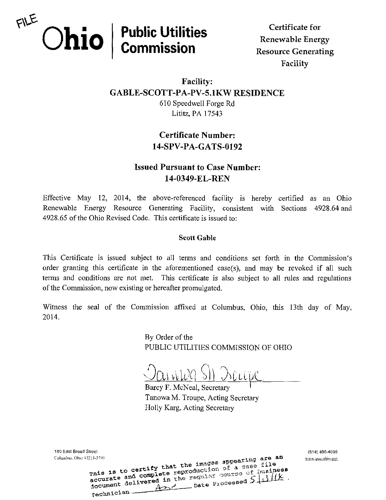

Facility

## Facility: GABLE-SC0TT-PA-PV-5.1KW RESIDENCE 610 Speedwell Forge Rd Lititz, PA 17543

# Certificate Number: 14-SPV-PA-GATS-0192

# Issued Pursuant to Case Number: 14-0349-EL-REN

Effective May 12, 2014, the above-referenced facility is hereby certified as an Ohio Renewable Energy Resource Generating Facility, consistent with Sections 4928.64 and 4928.65 of the Ohio Revised Code. This certificate is issued to:

## Scott Gable

This Certificate is issued subject to all terms and conditions set forth in the Commission's order granting this certificate in the aforementioned case(s), and may be revoked if all such terms and conditions are not met. This certificate is also subject to all rules and regulations of the Commission, now existing or hereafter promulgated.

Witness the seal of the Commission affixed at Columbus, Ohio, this 13th day of May, 2014.

> By Order of the PUBLIC UTILITIES COMMISSION OF OHIO

<u>Vaniwa SII Dicipe</u>

Barcy F. McNeal, Secretary Tanowa M. Troupe, Acting Secretary Holly Karg, Acting Secretary

180 East Broad Street (614) 466-4095 Columbus.Ohio 4>215-?"y3 "\*"lTirr ar e \* h wiva.iiuc.oliiv).i;o^ Technician Apple Processed 5 13/12 ed in the regular gourse of Business<br>ed in the regular gourse of Business.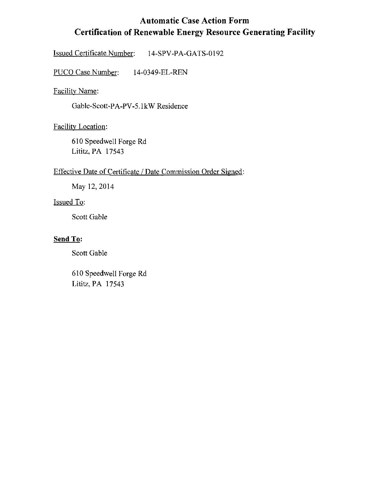# Automatic Case Action Form Certification of Renewable Energy Resource Generating Facility

Issued Certificate Number: 14-SPV-PA-GATS-0192

PUCO Case Number: 14-0349-EL-REN

Facility Name:

Gable-Scott-PA-PV-5. IkW Residence

Facility Location:

610 Speedwell Forge Rd Lititz, PA 17543

## Effective Date of Certificate / Date Commission Order Signed:

May 12,2014

## Issued To:

Scott Gable

#### Send To:

Scott Gable

610 Speedwell Forge Rd Lititz, PA 17543